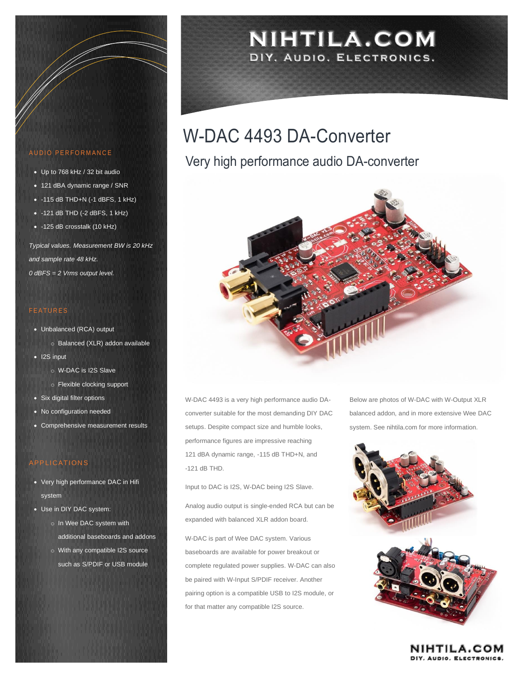#### AUDIO PERFORMANCE

- Up to 768 kHz / 32 bit audio
- 121 dBA dynamic range / SNR
- -115 dB THD+N (-1 dBFS, 1 kHz)
- $\bullet$  -121 dB THD (-2 dBFS, 1 kHz)
- -125 dB crosstalk (10 kHz)

*Typical values. Measurement BW is 20 kHz and sample rate 48 kHz. 0 dBFS = 2 Vrms output level.*

#### **FEATURES**

- Unbalanced (RCA) output
	- o Balanced (XLR) addon available
- I2S input
	- o W-DAC is I2S Slave
	- o Flexible clocking support
- Six digital filter options
- No configuration needed
- Comprehensive measurement results

#### **APPLICATIONS**

- Very high performance DAC in Hifi system
- Use in DIY DAC system:
	- o In Wee DAC system with additional baseboards and addons
	- o With any compatible I2S source such as S/PDIF or USB module

## NIHTILA.COM DIY, AUDIO, ELECTRONICS.

# W-DAC 4493 DA-Converter

### Very high performance audio DA-converter



W-DAC 4493 is a very high performance audio DAconverter suitable for the most demanding DIY DAC setups. Despite compact size and humble looks, performance figures are impressive reaching 121 dBA dynamic range, -115 dB THD+N, and -121 dB THD.

Input to DAC is I2S, W-DAC being I2S Slave.

Analog audio output is single-ended RCA but can be expanded with balanced XLR addon board.

W-DAC is part of Wee DAC system. Various baseboards are available for power breakout or complete regulated power supplies. W-DAC can also be paired with W-Input S/PDIF receiver. Another pairing option is a compatible USB to I2S module, or for that matter any compatible I2S source.

Below are photos of W-DAC with W-Output XLR balanced addon, and in more extensive Wee DAC system. See nihtila.com for more information.



**NIHTILA.COM** DIY, AUDIO, ELECTRONICS